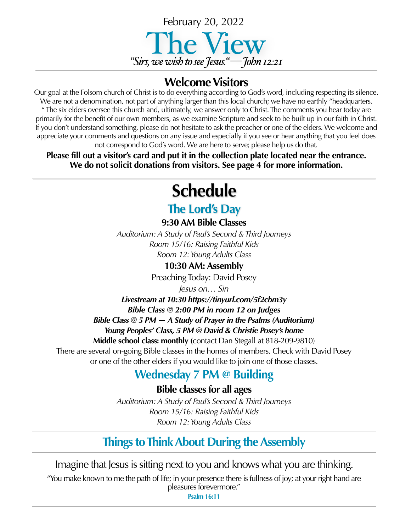

### **Welcome Visitors**

Our goal at the Folsom church of Christ is to do everything according to God's word, including respecting its silence. We are not a denomination, not part of anything larger than this local church; we have no earthly "headquarters. " The six elders oversee this church and, ultimately, we answer only to Christ. The comments you hear today are primarily for the benefit of our own members, as we examine Scripture and seek to be built up in our faith in Christ. If you don't understand something, please do not hesitate to ask the preacher or one of the elders. We welcome and appreciate your comments and questions on any issue and especially if you see or hear anything that you feel does not correspond to God's word. We are here to serve; please help us do that.

**Please fill out a visitor's card and put it in the collection plate located near the entrance. We do not solicit donations from visitors. See page 4 for more information.**

# **Schedule**

### **The Lord's Day**

**9:30 AM Bible Classes**

*Auditorium: A Study of Paul's Second & Third Journeys Room 15/16: Raising Faithful Kids Room 12: Young Adults Class*

**10:30 AM: Assembly**

Preaching Today: David Posey

*Jesus on… Sin*

*Livestream at 10:30 <https://tinyurl.com/5f2cbm3y> Bible Class @ 2:00 PM in room 12 on Judges*

*Bible Class @ 5 PM — A Study of Prayer in the Psalms (Auditorium) Young Peoples' Class, 5 PM @ David & Christie Posey's home* 

**Middle school class: monthly (**contact Dan Stegall at 818-209-9810)

There are several on-going Bible classes in the homes of members. Check with David Posey or one of the other elders if you would like to join one of those classes.

### **Wednesday 7 PM @ Building**

**Bible classes for all ages**

*Auditorium: A Study of Paul's Second & Third Journeys Room 15/16: Raising Faithful Kids Room 12: Young Adults Class*

## **Things to Think About During the Assembly**

Imagine that Jesus is sitting next to you and knows what you are thinking.

"You make known to me the path of life; in your presence there is fullness of joy; at your right hand are pleasures forevermore."

**Psalm 16:11**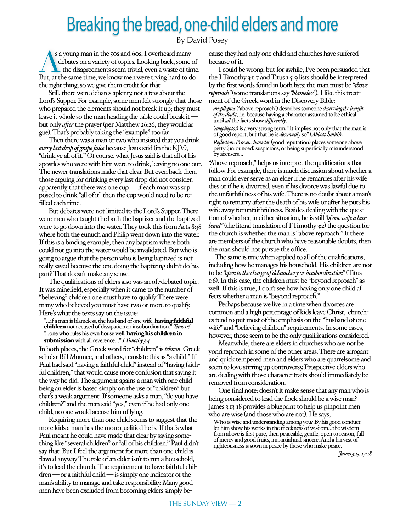## Breaking the bread, one-child elders and more

By David Posey

s a young man in the 50s and 60s, I overheard many<br>debates on a variety of topics. Looking back, some of<br>the disagreements seem trivial, even a waste of time.<br>But at the same time we know men were trying bard to do. debates on a variety of topics. Looking back, some of But, at the same time, we know men were trying hard to do the right thing, so we give them credit for that.

Still, there were debates aplenty, not a few about the Lord's Supper. For example, some men felt strongly that those who prepared the elements should not break it up; they must leave it whole so the man heading the table could break it but only *after* the prayer (per Matthew 26:26, they would argue). That's probably taking the "example" too far.

Then there was a man or two who insisted that you drink *every last drop of grape juice* because Jesus said (in the KJV), "drink ye all of it." Of course, what Jesus said is that all of his apostles who were with him were to drink, leaving no one out. The newer translations make that clear. But even back then, those arguing for drinking every last drop did not consider, apparently, that there was one cup — if each man was supposed to drink "all of it" then the cup would need to be refilled each time.

But debates were not limited to the Lord's Supper. There were men who taught the both the baptizer and the baptized were to go down into the water. They took this from Acts 8:38 where both the eunuch and Philip went down into the water. If this is a binding example, then any baptism where both could not go into the water would be invalidated. But who is going to argue that the person who is being baptized is not really saved because the one doing the baptizing didn't do his part? That doesn't make any sense.

The qualifications of elders also was an oft-debated topic. It was minefield, especially when it came to the number of "believing" children one must have to qualify. There were many who believed you must have two or more to qualify. Here's what the texts say on the issue:

"…if a man is blameless, the husband of one wife, having faithful children not accused of dissipation or insubordination." *Titus 1:6 "…*one who rules his own house well, having his children in submission with all reverence…" *I Timothy 3:4*

In both places, the Greek word for "children" is *teknon*. Greek scholar Bill Mounce, and others, translate this as "a child." If Paul had said "having a faithful child" instead of "having faithful children," that would cause more confusion that saying it the way he did. The argument agains a man with one child being an elder is based simply on the use of "children" but that's a weak argument. If someone asks a man, "do you have children?" and the man said "yes," even if he had only one child, no one would accuse him of lying.

Requiring more than one child seems to suggest that the more kids a man has the more qualified he is. If that's what Paul meant he could have made that clear by saying something like "several children" or "all of his children." Paul didn't say that. But I feel the argument for more than one child is flawed anyway. The role of an elder isn't to run a household, it's to lead the church. The requirement to have faithful children — or a faithful child — is simply one indicator of the man's ability to manage and take responsibility. Many good men have been excluded from becoming elders simply because they had only one child and churches have suffered because of it.

I could be wrong, but for awhile, I've been persuaded that the I Timothy 3:1-7 and Titus 1:5-9 lists should be interpreted by the first words found in both lists: the man must be *"above reproach"* (some translations say *"blameless"*)*.* I like this treatment of the Greek word in the Discovery Bible:

*anepilēptos* ("above reproach") describes someone *deserving the benefit of the doubt*, i.e. because having a character assumed to be ethical until *all* the facts show *differently*.

(*anepilēptos*) is a very strong term. "It implies not only that the man is of good report, but that he is *deservedly* so" (*Abbott-Smith*). *Reflection*: *Proven character*(good reputation) places someone above petty (unfounded) suspicions, or being superficially misunderstood by accusers…

"Above reproach," helps us interpret the qualifications that follow. For example, there is much discussion about whether a man could ever serve as an elder if he remarries after his wife dies or if he is divorced, even if his divorce was lawful due to the unfaithfulness of his wife. There is no doubt about a man's right to remarry after the death of his wife or after he puts his wife away for unfaithfulness. Besides dealing with the question of whether, in either situation, he is still *"of one wife a husband"*(the literal translation of I Timothy 3:2) the question for the church is whether the man is "above reproach." If there are members of the church who have reasonable doubts, then the man should not pursue the office.

The same is true when applied to all of the qualifications, including how he manages his household. His children are not to be *"open to the charge of debauchery or insubordination"*(Titus 1:6). In this case, the children must be "beyond reproach" as well. If this is true, I don't see how having only one child affects whether a man is "beyond reproach."

Perhaps because we live in a time when divorces are common and a high percentage of kids leave Christ, churches tend to put most of the emphasis on the "husband of one wife" and "believing children" requirements. In some cases, however, those seem to be the only qualifications considered.

Meanwhile, there are elders in churches who are not beyond reproach in some of the other areas. There are arrogant and quick-tempered men and elders who are quarrelsome and seem to love stirring up controversy. Prospective elders who are dealing with those character traits should immediately be removed from consideration.

One final note: doesn't it make sense that any man who is being considered to lead the flock should be a wise man? James 3:13-18 provides a blueprint to help us pinpoint men who are wise (and those who are not). He says,

Who is wise and understanding among you? By his good conduct let him show his works in the meekness of wisdom…the wisdom from above is first pure, then peaceable, gentle, open to reason, full of mercy and good fruits, impartial and sincere. And a harvest of righteousness is sown in peace by those who make peace.

*James 3:13, 17-18*